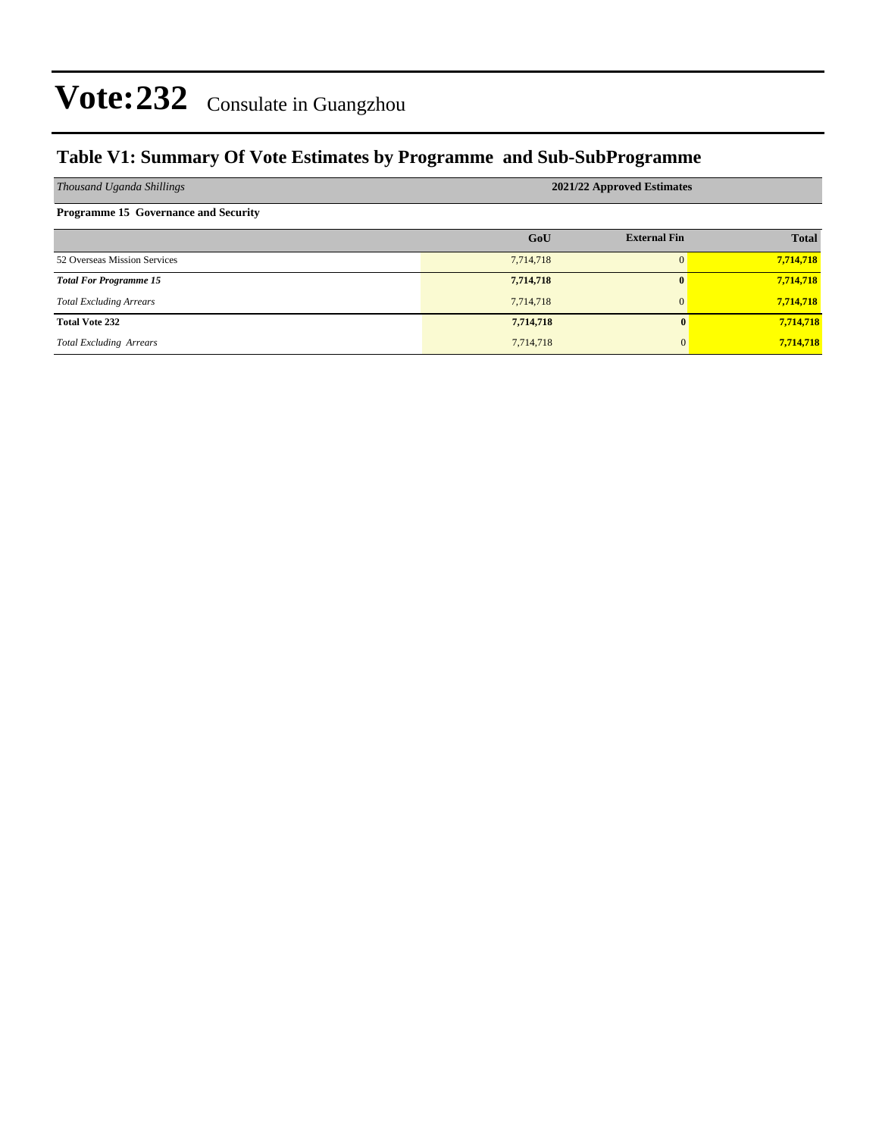### **Table V1: Summary Of Vote Estimates by Programme and Sub-SubProgramme**

| Thousand Uganda Shillings                   | 2021/22 Approved Estimates |                     |              |  |  |  |  |
|---------------------------------------------|----------------------------|---------------------|--------------|--|--|--|--|
| <b>Programme 15 Governance and Security</b> |                            |                     |              |  |  |  |  |
|                                             | GoU                        | <b>External Fin</b> | <b>Total</b> |  |  |  |  |
| 52 Overseas Mission Services                | 7,714,718                  | $\Omega$            | 7,714,718    |  |  |  |  |
| <b>Total For Programme 15</b>               | 7,714,718                  | $\mathbf{0}$        | 7,714,718    |  |  |  |  |
| <b>Total Excluding Arrears</b>              | 7,714,718                  | $\mathbf{0}$        | 7,714,718    |  |  |  |  |
| <b>Total Vote 232</b>                       | 7,714,718                  | 0                   | 7,714,718    |  |  |  |  |
| <b>Total Excluding Arrears</b>              | 7,714,718                  | $\mathbf{0}$        | 7,714,718    |  |  |  |  |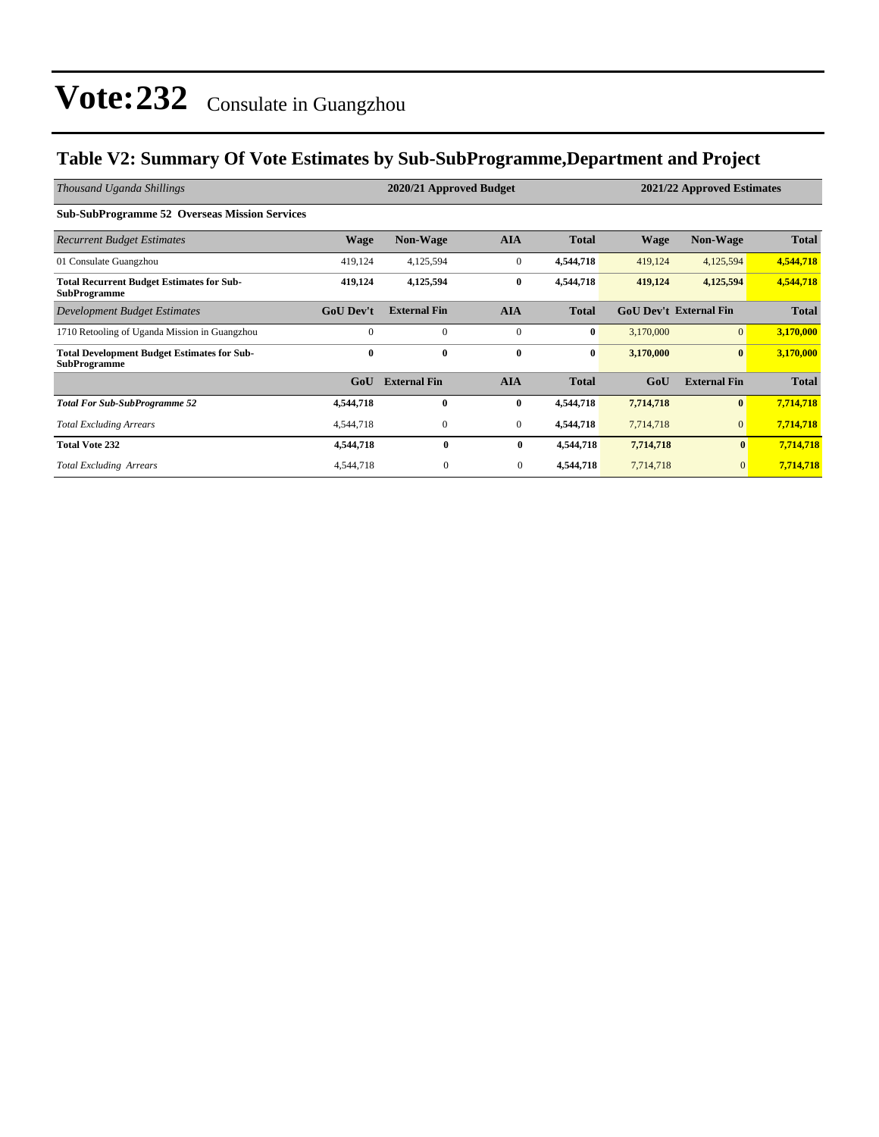### **Table V2: Summary Of Vote Estimates by Sub-SubProgramme,Department and Project**

| Thousand Uganda Shillings                                                 | 2020/21 Approved Budget<br>2021/22 Approved Estimates |                     |                  |              |             |                               |              |
|---------------------------------------------------------------------------|-------------------------------------------------------|---------------------|------------------|--------------|-------------|-------------------------------|--------------|
| <b>Sub-SubProgramme 52 Overseas Mission Services</b>                      |                                                       |                     |                  |              |             |                               |              |
| <b>Recurrent Budget Estimates</b>                                         | <b>Wage</b>                                           | <b>Non-Wage</b>     | <b>AIA</b>       | <b>Total</b> | <b>Wage</b> | Non-Wage                      | <b>Total</b> |
| 01 Consulate Guangzhou                                                    | 419,124                                               | 4,125,594           | $\mathbf{0}$     | 4,544,718    | 419,124     | 4,125,594                     | 4,544,718    |
| <b>Total Recurrent Budget Estimates for Sub-</b><br><b>SubProgramme</b>   | 419,124                                               | 4,125,594           | $\bf{0}$         | 4,544,718    | 419,124     | 4,125,594                     | 4,544,718    |
| Development Budget Estimates                                              | <b>GoU Dev't</b>                                      | <b>External Fin</b> | <b>AIA</b>       | <b>Total</b> |             | <b>GoU Dev't External Fin</b> | <b>Total</b> |
| 1710 Retooling of Uganda Mission in Guangzhou                             | $\Omega$                                              | $\Omega$            | $\mathbf{0}$     | $\bf{0}$     | 3,170,000   | $\overline{0}$                | 3,170,000    |
| <b>Total Development Budget Estimates for Sub-</b><br><b>SubProgramme</b> | $\mathbf{0}$                                          | $\mathbf{0}$        | $\bf{0}$         | $\bf{0}$     | 3,170,000   | $\bf{0}$                      | 3,170,000    |
|                                                                           | G <sub>0</sub> U                                      | <b>External Fin</b> | <b>AIA</b>       | <b>Total</b> | GoU         | <b>External Fin</b>           | <b>Total</b> |
| <b>Total For Sub-SubProgramme 52</b>                                      | 4,544,718                                             | $\mathbf{0}$        | $\bf{0}$         | 4,544,718    | 7,714,718   | $\bf{0}$                      | 7,714,718    |
| <b>Total Excluding Arrears</b>                                            | 4,544,718                                             | $\mathbf{0}$        | $\boldsymbol{0}$ | 4,544,718    | 7,714,718   | $\mathbf{0}$                  | 7,714,718    |
| <b>Total Vote 232</b>                                                     | 4,544,718                                             | $\mathbf{0}$        | 0                | 4,544,718    | 7,714,718   | $\mathbf{0}$                  | 7,714,718    |
| <b>Total Excluding Arrears</b>                                            | 4,544,718                                             | $\mathbf{0}$        | $\mathbf{0}$     | 4,544,718    | 7,714,718   | $\overline{0}$                | 7,714,718    |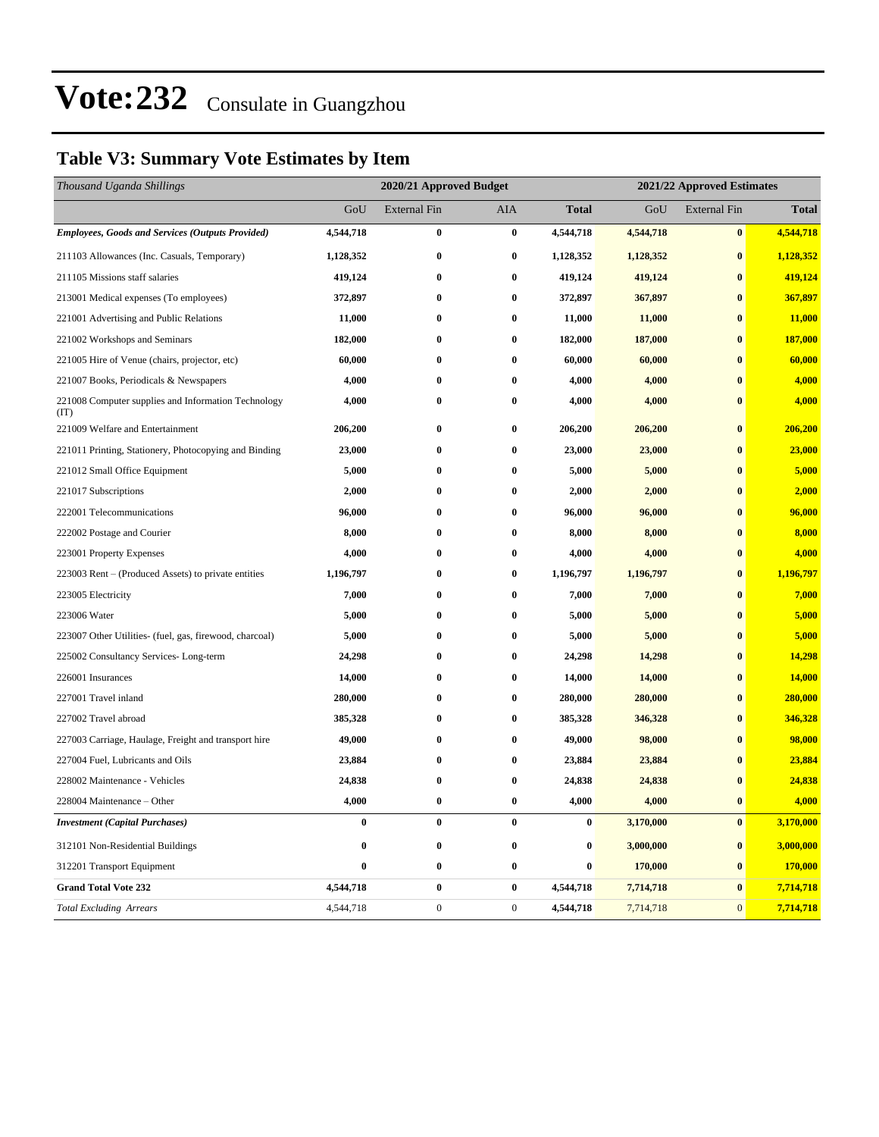## **Table V3: Summary Vote Estimates by Item**

| Thousand Uganda Shillings                                   | 2020/21 Approved Budget |                     |                  |              | 2021/22 Approved Estimates |                     |              |  |
|-------------------------------------------------------------|-------------------------|---------------------|------------------|--------------|----------------------------|---------------------|--------------|--|
|                                                             | GoU                     | <b>External Fin</b> | AIA              | <b>Total</b> | GoU                        | <b>External Fin</b> | <b>Total</b> |  |
| <b>Employees, Goods and Services (Outputs Provided)</b>     | 4,544,718               | $\bf{0}$            | $\bf{0}$         | 4,544,718    | 4,544,718                  | $\pmb{0}$           | 4,544,718    |  |
| 211103 Allowances (Inc. Casuals, Temporary)                 | 1,128,352               | $\bf{0}$            | $\bf{0}$         | 1,128,352    | 1,128,352                  | $\bf{0}$            | 1,128,352    |  |
| 211105 Missions staff salaries                              | 419,124                 | $\bf{0}$            | $\bf{0}$         | 419,124      | 419,124                    | $\bf{0}$            | 419,124      |  |
| 213001 Medical expenses (To employees)                      | 372,897                 | $\bf{0}$            | $\bf{0}$         | 372,897      | 367,897                    | $\bf{0}$            | 367,897      |  |
| 221001 Advertising and Public Relations                     | 11,000                  | $\bf{0}$            | $\bf{0}$         | 11,000       | 11,000                     | $\bf{0}$            | 11,000       |  |
| 221002 Workshops and Seminars                               | 182,000                 | $\bf{0}$            | $\bf{0}$         | 182,000      | 187,000                    | $\bf{0}$            | 187,000      |  |
| 221005 Hire of Venue (chairs, projector, etc)               | 60,000                  | $\bf{0}$            | $\bf{0}$         | 60,000       | 60,000                     | $\bf{0}$            | 60,000       |  |
| 221007 Books, Periodicals & Newspapers                      | 4,000                   | $\bf{0}$            | $\bf{0}$         | 4,000        | 4,000                      | $\bf{0}$            | 4,000        |  |
| 221008 Computer supplies and Information Technology<br>(TT) | 4,000                   | $\bf{0}$            | $\bf{0}$         | 4,000        | 4,000                      | $\bf{0}$            | 4,000        |  |
| 221009 Welfare and Entertainment                            | 206,200                 | $\bf{0}$            | $\bf{0}$         | 206,200      | 206,200                    | $\bf{0}$            | 206,200      |  |
| 221011 Printing, Stationery, Photocopying and Binding       | 23,000                  | $\bf{0}$            | $\pmb{0}$        | 23,000       | 23,000                     | $\bf{0}$            | 23,000       |  |
| 221012 Small Office Equipment                               | 5,000                   | $\bf{0}$            | $\bf{0}$         | 5,000        | 5,000                      | $\bf{0}$            | 5,000        |  |
| 221017 Subscriptions                                        | 2,000                   | $\bf{0}$            | $\bf{0}$         | 2,000        | 2,000                      | $\bf{0}$            | 2,000        |  |
| 222001 Telecommunications                                   | 96,000                  | $\bf{0}$            | $\pmb{0}$        | 96,000       | 96,000                     | $\bf{0}$            | 96,000       |  |
| 222002 Postage and Courier                                  | 8,000                   | $\bf{0}$            | $\bf{0}$         | 8,000        | 8,000                      | $\bf{0}$            | 8,000        |  |
| 223001 Property Expenses                                    | 4,000                   | $\bf{0}$            | $\bf{0}$         | 4,000        | 4,000                      | $\bf{0}$            | 4,000        |  |
| 223003 Rent – (Produced Assets) to private entities         | 1,196,797               | $\bf{0}$            | $\bf{0}$         | 1,196,797    | 1,196,797                  | $\bf{0}$            | 1,196,797    |  |
| 223005 Electricity                                          | 7,000                   | $\bf{0}$            | $\pmb{0}$        | 7,000        | 7,000                      | $\bf{0}$            | 7,000        |  |
| 223006 Water                                                | 5,000                   | $\bf{0}$            | $\bf{0}$         | 5,000        | 5,000                      | $\bf{0}$            | 5,000        |  |
| 223007 Other Utilities- (fuel, gas, firewood, charcoal)     | 5,000                   | $\bf{0}$            | $\bf{0}$         | 5,000        | 5,000                      | $\bf{0}$            | 5,000        |  |
| 225002 Consultancy Services-Long-term                       | 24,298                  | $\bf{0}$            | $\bf{0}$         | 24,298       | 14,298                     | $\bf{0}$            | 14,298       |  |
| 226001 Insurances                                           | 14,000                  | $\bf{0}$            | $\bf{0}$         | 14,000       | 14,000                     | $\bf{0}$            | 14,000       |  |
| 227001 Travel inland                                        | 280,000                 | $\bf{0}$            | $\bf{0}$         | 280,000      | 280,000                    | $\bf{0}$            | 280,000      |  |
| 227002 Travel abroad                                        | 385,328                 | $\bf{0}$            | $\bf{0}$         | 385,328      | 346,328                    | $\bf{0}$            | 346,328      |  |
| 227003 Carriage, Haulage, Freight and transport hire        | 49,000                  | $\bf{0}$            | $\bf{0}$         | 49,000       | 98,000                     | $\bf{0}$            | 98,000       |  |
| 227004 Fuel, Lubricants and Oils                            | 23,884                  | $\pmb{0}$           | $\bf{0}$         | 23,884       | 23,884                     | $\bf{0}$            | 23,884       |  |
| 228002 Maintenance - Vehicles                               | 24,838                  | $\bf{0}$            | $\bf{0}$         | 24,838       | 24,838                     | $\bf{0}$            | 24,838       |  |
| 228004 Maintenance - Other                                  | 4,000                   | $\bf{0}$            | $\bf{0}$         | 4,000        | 4,000                      | $\bf{0}$            | 4,000        |  |
| <b>Investment</b> (Capital Purchases)                       | $\bf{0}$                | $\bf{0}$            | $\bf{0}$         | $\bf{0}$     | 3,170,000                  | $\boldsymbol{0}$    | 3,170,000    |  |
| 312101 Non-Residential Buildings                            | 0                       | $\pmb{0}$           | $\bf{0}$         | 0            | 3,000,000                  | $\bf{0}$            | 3,000,000    |  |
| 312201 Transport Equipment                                  | 0                       | $\bf{0}$            | $\bf{0}$         | 0            | 170,000                    | $\bf{0}$            | 170,000      |  |
| <b>Grand Total Vote 232</b>                                 | 4,544,718               | $\bf{0}$            | $\bf{0}$         | 4,544,718    | 7,714,718                  | $\bf{0}$            | 7,714,718    |  |
| <b>Total Excluding Arrears</b>                              | 4,544,718               | $\boldsymbol{0}$    | $\boldsymbol{0}$ | 4,544,718    | 7,714,718                  | $\mathbf{0}$        | 7,714,718    |  |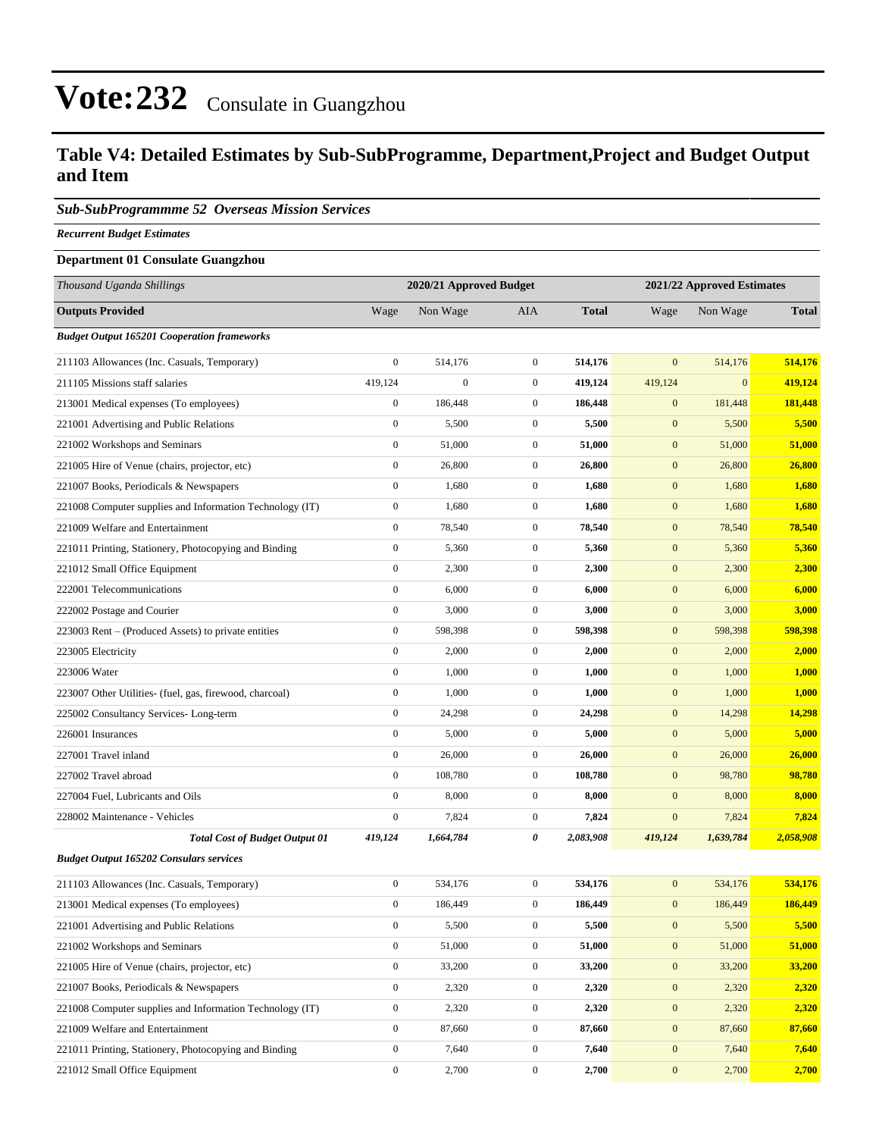### **Table V4: Detailed Estimates by Sub-SubProgramme, Department,Project and Budget Output and Item**

#### *Sub-SubProgrammme 52 Overseas Mission Services*

*Recurrent Budget Estimates*

#### **Department 01 Consulate Guangzhou**

| Thousand Uganda Shillings                                | 2020/21 Approved Budget |                  |                  | 2021/22 Approved Estimates |                  |              |              |
|----------------------------------------------------------|-------------------------|------------------|------------------|----------------------------|------------------|--------------|--------------|
| <b>Outputs Provided</b>                                  | Wage                    | Non Wage         | AIA              | <b>Total</b>               | Wage             | Non Wage     | <b>Total</b> |
| <b>Budget Output 165201 Cooperation frameworks</b>       |                         |                  |                  |                            |                  |              |              |
| 211103 Allowances (Inc. Casuals, Temporary)              | $\boldsymbol{0}$        | 514,176          | $\overline{0}$   | 514,176                    | $\mathbf{0}$     | 514,176      | 514,176      |
| 211105 Missions staff salaries                           | 419,124                 | $\boldsymbol{0}$ | $\mathbf{0}$     | 419,124                    | 419,124          | $\mathbf{0}$ | 419,124      |
| 213001 Medical expenses (To employees)                   | $\boldsymbol{0}$        | 186,448          | $\mathbf{0}$     | 186,448                    | $\mathbf{0}$     | 181,448      | 181,448      |
| 221001 Advertising and Public Relations                  | $\boldsymbol{0}$        | 5,500            | $\boldsymbol{0}$ | 5,500                      | $\mathbf{0}$     | 5,500        | 5,500        |
| 221002 Workshops and Seminars                            | $\boldsymbol{0}$        | 51,000           | $\boldsymbol{0}$ | 51,000                     | $\mathbf{0}$     | 51,000       | 51,000       |
| 221005 Hire of Venue (chairs, projector, etc)            | $\boldsymbol{0}$        | 26,800           | $\overline{0}$   | 26,800                     | $\mathbf{0}$     | 26,800       | 26,800       |
| 221007 Books, Periodicals & Newspapers                   | $\boldsymbol{0}$        | 1,680            | $\overline{0}$   | 1,680                      | $\mathbf{0}$     | 1,680        | 1,680        |
| 221008 Computer supplies and Information Technology (IT) | $\boldsymbol{0}$        | 1,680            | $\mathbf{0}$     | 1,680                      | $\mathbf{0}$     | 1,680        | 1,680        |
| 221009 Welfare and Entertainment                         | $\boldsymbol{0}$        | 78,540           | $\boldsymbol{0}$ | 78,540                     | $\mathbf{0}$     | 78,540       | 78,540       |
| 221011 Printing, Stationery, Photocopying and Binding    | $\boldsymbol{0}$        | 5,360            | $\boldsymbol{0}$ | 5,360                      | $\mathbf{0}$     | 5,360        | 5,360        |
| 221012 Small Office Equipment                            | $\boldsymbol{0}$        | 2,300            | $\overline{0}$   | 2,300                      | $\mathbf{0}$     | 2,300        | 2,300        |
| 222001 Telecommunications                                | $\boldsymbol{0}$        | 6,000            | $\overline{0}$   | 6,000                      | $\mathbf{0}$     | 6,000        | 6,000        |
| 222002 Postage and Courier                               | $\boldsymbol{0}$        | 3,000            | $\mathbf{0}$     | 3,000                      | $\mathbf{0}$     | 3,000        | 3,000        |
| 223003 Rent – (Produced Assets) to private entities      | $\boldsymbol{0}$        | 598,398          | $\mathbf{0}$     | 598,398                    | $\mathbf{0}$     | 598,398      | 598,398      |
| 223005 Electricity                                       | $\boldsymbol{0}$        | 2,000            | $\mathbf{0}$     | 2,000                      | $\mathbf{0}$     | 2,000        | 2,000        |
| 223006 Water                                             | $\boldsymbol{0}$        | 1,000            | $\mathbf{0}$     | 1,000                      | $\mathbf{0}$     | 1,000        | 1,000        |
| 223007 Other Utilities- (fuel, gas, firewood, charcoal)  | $\boldsymbol{0}$        | 1,000            | $\mathbf{0}$     | 1,000                      | $\mathbf{0}$     | 1,000        | 1,000        |
| 225002 Consultancy Services-Long-term                    | $\boldsymbol{0}$        | 24,298           | $\mathbf{0}$     | 24,298                     | $\mathbf{0}$     | 14,298       | 14,298       |
| 226001 Insurances                                        | $\boldsymbol{0}$        | 5,000            | $\boldsymbol{0}$ | 5,000                      | $\mathbf{0}$     | 5,000        | 5,000        |
| 227001 Travel inland                                     | $\boldsymbol{0}$        | 26,000           | $\mathbf{0}$     | 26,000                     | $\mathbf{0}$     | 26,000       | 26,000       |
| 227002 Travel abroad                                     | $\boldsymbol{0}$        | 108,780          | $\overline{0}$   | 108,780                    | $\mathbf{0}$     | 98,780       | 98,780       |
| 227004 Fuel, Lubricants and Oils                         | $\boldsymbol{0}$        | 8,000            | $\mathbf{0}$     | 8,000                      | $\mathbf{0}$     | 8,000        | 8,000        |
| 228002 Maintenance - Vehicles                            | $\boldsymbol{0}$        | 7,824            | $\mathbf{0}$     | 7,824                      | $\mathbf{0}$     | 7,824        | 7,824        |
| <b>Total Cost of Budget Output 01</b>                    | 419,124                 | 1,664,784        | 0                | 2,083,908                  | 419,124          | 1,639,784    | 2,058,908    |
| <b>Budget Output 165202 Consulars services</b>           |                         |                  |                  |                            |                  |              |              |
| 211103 Allowances (Inc. Casuals, Temporary)              | $\boldsymbol{0}$        | 534,176          | $\mathbf{0}$     | 534,176                    | $\mathbf{0}$     | 534,176      | 534,176      |
| 213001 Medical expenses (To employees)                   | $\boldsymbol{0}$        | 186,449          | $\mathbf{0}$     | 186,449                    | $\mathbf{0}$     | 186,449      | 186,449      |
| 221001 Advertising and Public Relations                  | $\boldsymbol{0}$        | 5,500            | $\boldsymbol{0}$ | 5,500                      | $\mathbf{0}$     | 5,500        | 5,500        |
| 221002 Workshops and Seminars                            | $\boldsymbol{0}$        | 51,000           | $\boldsymbol{0}$ | 51,000                     | $\mathbf{0}$     | 51,000       | 51,000       |
| 221005 Hire of Venue (chairs, projector, etc)            | $\boldsymbol{0}$        | 33,200           | $\boldsymbol{0}$ | 33,200                     | $\boldsymbol{0}$ | 33,200       | 33,200       |
| 221007 Books, Periodicals & Newspapers                   | $\boldsymbol{0}$        | 2,320            | $\boldsymbol{0}$ | 2,320                      | $\boldsymbol{0}$ | 2,320        | 2,320        |
| 221008 Computer supplies and Information Technology (IT) | $\boldsymbol{0}$        | 2,320            | $\boldsymbol{0}$ | 2,320                      | $\boldsymbol{0}$ | 2,320        | 2,320        |
| 221009 Welfare and Entertainment                         | $\boldsymbol{0}$        | 87,660           | $\boldsymbol{0}$ | 87,660                     | $\mathbf{0}$     | 87,660       | 87,660       |
| 221011 Printing, Stationery, Photocopying and Binding    | $\boldsymbol{0}$        | 7,640            | 0                | 7,640                      | $\mathbf{0}$     | 7,640        | 7,640        |
| 221012 Small Office Equipment                            | $\boldsymbol{0}$        | 2,700            | $\boldsymbol{0}$ | 2,700                      | $\mathbf{0}$     | 2,700        | 2,700        |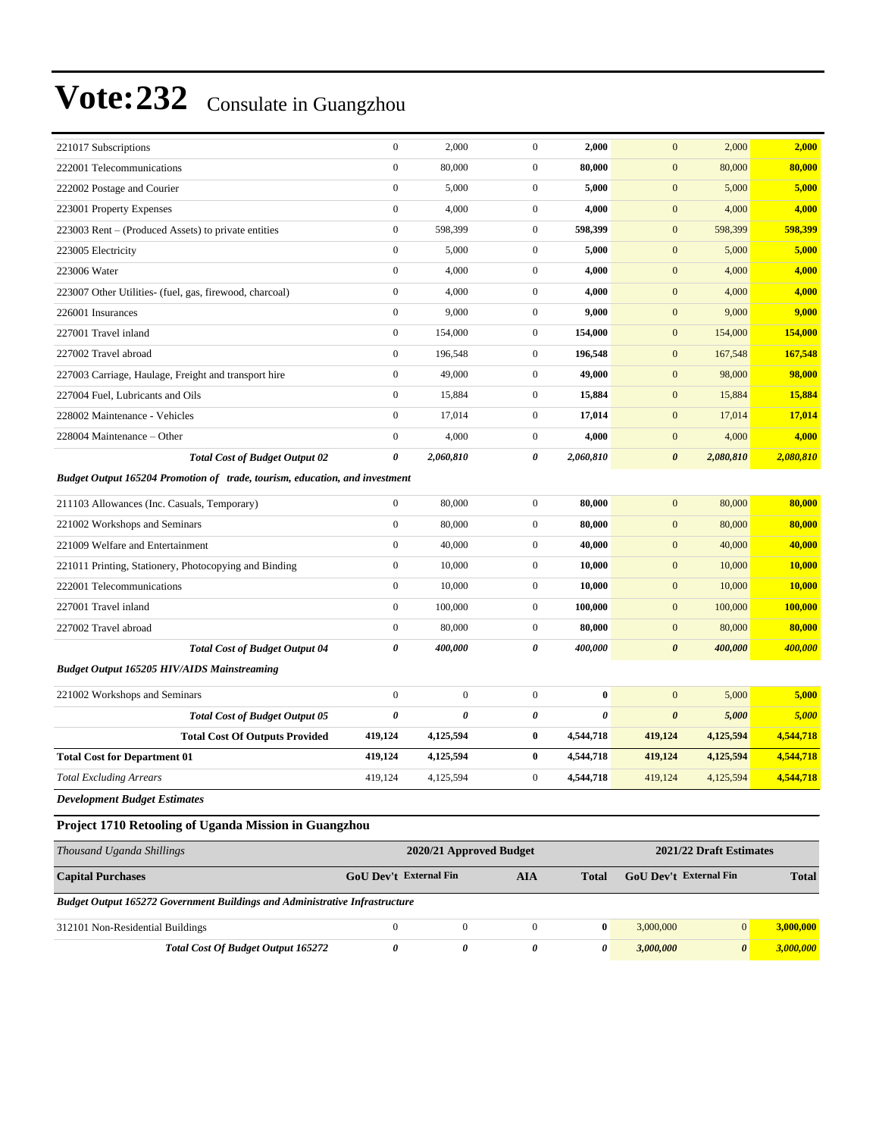| 312101 Non-Residential Buildings                                            | $\boldsymbol{0}$                                   | $\boldsymbol{0}$                                                               | $\boldsymbol{0}$ | $\boldsymbol{0}$      | 3,000,000             | $\vert 0 \vert$ | 3,000,000      |  |  |
|-----------------------------------------------------------------------------|----------------------------------------------------|--------------------------------------------------------------------------------|------------------|-----------------------|-----------------------|-----------------|----------------|--|--|
| Budget Output 165272 Government Buildings and Administrative Infrastructure |                                                    |                                                                                |                  |                       |                       |                 |                |  |  |
| <b>Capital Purchases</b>                                                    |                                                    | GoU Dev't External Fin<br>GoU Dev't External Fin<br><b>AIA</b><br><b>Total</b> |                  |                       | <b>Total</b>          |                 |                |  |  |
| Thousand Uganda Shillings                                                   | 2020/21 Approved Budget<br>2021/22 Draft Estimates |                                                                                |                  |                       |                       |                 |                |  |  |
| Project 1710 Retooling of Uganda Mission in Guangzhou                       |                                                    |                                                                                |                  |                       |                       |                 |                |  |  |
| <b>Development Budget Estimates</b>                                         |                                                    |                                                                                |                  |                       |                       |                 |                |  |  |
| <b>Total Excluding Arrears</b>                                              | 419,124                                            | 4,125,594                                                                      | $\boldsymbol{0}$ | 4,544,718             | 419,124               | 4,125,594       | 4,544,718      |  |  |
| <b>Total Cost for Department 01</b>                                         | 419,124                                            | 4,125,594                                                                      | $\bf{0}$         | 4,544,718             | 419,124               | 4,125,594       | 4,544,718      |  |  |
| <b>Total Cost Of Outputs Provided</b>                                       | 419,124                                            | 4,125,594                                                                      | $\bf{0}$         | 4,544,718             | 419,124               | 4,125,594       | 4,544,718      |  |  |
| <b>Total Cost of Budget Output 05</b>                                       | 0                                                  | 0                                                                              | 0                | $\boldsymbol{\theta}$ | $\boldsymbol{\theta}$ | 5,000           | 5,000          |  |  |
| 221002 Workshops and Seminars                                               | $\boldsymbol{0}$                                   | $\mathbf{0}$                                                                   | $\mathbf{0}$     | $\bf{0}$              | $\mathbf{0}$          | 5,000           | 5,000          |  |  |
| <b>Budget Output 165205 HIV/AIDS Mainstreaming</b>                          |                                                    |                                                                                |                  |                       |                       |                 |                |  |  |
| <b>Total Cost of Budget Output 04</b>                                       | 0                                                  | 400,000                                                                        | 0                | 400,000               | $\boldsymbol{\theta}$ | 400,000         | 400,000        |  |  |
| 227002 Travel abroad                                                        | $\boldsymbol{0}$                                   | 80,000                                                                         | $\mathbf{0}$     | 80,000                | $\mathbf{0}$          | 80,000          | 80,000         |  |  |
| 227001 Travel inland                                                        | $\boldsymbol{0}$                                   | 100,000                                                                        | $\mathbf{0}$     | 100,000               | $\mathbf{0}$          | 100,000         | <b>100,000</b> |  |  |
| 222001 Telecommunications                                                   | $\boldsymbol{0}$                                   | 10,000                                                                         | $\mathbf{0}$     | 10,000                | $\boldsymbol{0}$      | 10,000          | 10,000         |  |  |
| 221011 Printing, Stationery, Photocopying and Binding                       | $\boldsymbol{0}$                                   | 10,000                                                                         | $\boldsymbol{0}$ | 10,000                | $\boldsymbol{0}$      | 10,000          | 10,000         |  |  |
| 221009 Welfare and Entertainment                                            | $\mathbf{0}$                                       | 40,000                                                                         | $\mathbf{0}$     | 40,000                | $\mathbf{0}$          | 40,000          | 40,000         |  |  |
| 221002 Workshops and Seminars                                               | $\mathbf{0}$                                       | 80,000                                                                         | $\mathbf{0}$     | 80,000                | $\mathbf{0}$          | 80,000          | 80,000         |  |  |
| 211103 Allowances (Inc. Casuals, Temporary)                                 | $\boldsymbol{0}$                                   | 80,000                                                                         | $\mathbf{0}$     | 80,000                | $\overline{0}$        | 80,000          | 80,000         |  |  |
| Budget Output 165204 Promotion of trade, tourism, education, and investment |                                                    |                                                                                |                  |                       |                       |                 |                |  |  |
| <b>Total Cost of Budget Output 02</b>                                       | 0                                                  | 2,060,810                                                                      | 0                | 2,060,810             | $\boldsymbol{\theta}$ | 2,080,810       | 2,080,810      |  |  |
| 228004 Maintenance - Other                                                  | $\boldsymbol{0}$                                   | 4,000                                                                          | $\mathbf{0}$     | 4,000                 | $\mathbf{0}$          | 4,000           | 4,000          |  |  |
| 228002 Maintenance - Vehicles                                               | $\boldsymbol{0}$                                   | 17,014                                                                         | $\mathbf{0}$     | 17,014                | $\boldsymbol{0}$      | 17,014          | 17,014         |  |  |
| 227004 Fuel, Lubricants and Oils                                            | $\boldsymbol{0}$                                   | 15,884                                                                         | $\mathbf{0}$     | 15,884                | $\boldsymbol{0}$      | 15,884          | 15,884         |  |  |
| 227003 Carriage, Haulage, Freight and transport hire                        | $\boldsymbol{0}$                                   | 49,000                                                                         | $\mathbf{0}$     | 49,000                | $\boldsymbol{0}$      | 98,000          | 98,000         |  |  |
| 227002 Travel abroad                                                        | $\boldsymbol{0}$                                   | 196,548                                                                        | $\mathbf{0}$     | 196,548               | $\mathbf{0}$          | 167,548         | 167,548        |  |  |
| 227001 Travel inland                                                        | $\boldsymbol{0}$                                   | 154,000                                                                        | $\mathbf{0}$     | 154,000               | $\mathbf{0}$          | 154,000         | 154,000        |  |  |
| 226001 Insurances                                                           | $\boldsymbol{0}$                                   | 9,000                                                                          | $\mathbf{0}$     | 9,000                 | $\boldsymbol{0}$      | 9,000           | 9,000          |  |  |
| 223007 Other Utilities- (fuel, gas, firewood, charcoal)                     | $\boldsymbol{0}$                                   | 4,000                                                                          | $\mathbf{0}$     | 4,000                 | $\boldsymbol{0}$      | 4,000           | 4,000          |  |  |
| 223006 Water                                                                | $\mathbf{0}$                                       | 4,000                                                                          | $\mathbf{0}$     | 4,000                 | $\boldsymbol{0}$      | 4,000           | 4,000          |  |  |
| 223005 Electricity                                                          | $\boldsymbol{0}$                                   | 5,000                                                                          | $\mathbf{0}$     | 5,000                 | $\mathbf{0}$          | 5,000           | 5,000          |  |  |
| 223003 Rent – (Produced Assets) to private entities                         | $\boldsymbol{0}$                                   | 598,399                                                                        | $\mathbf{0}$     | 598.399               | $\boldsymbol{0}$      | 598,399         | 598,399        |  |  |
| 223001 Property Expenses                                                    | $\boldsymbol{0}$                                   | 4,000                                                                          | $\mathbf{0}$     | 4,000                 | $\boldsymbol{0}$      | 4,000           | 4,000          |  |  |
| 222002 Postage and Courier                                                  | $\boldsymbol{0}$                                   | 5,000                                                                          | $\mathbf{0}$     | 5,000                 | $\boldsymbol{0}$      | 5,000           | 5,000          |  |  |
| 222001 Telecommunications                                                   | $\boldsymbol{0}$                                   | 80,000                                                                         | $\mathbf{0}$     | 80,000                | $\boldsymbol{0}$      | 80,000          | 80,000         |  |  |
| 221017 Subscriptions                                                        | $\boldsymbol{0}$                                   | 2,000                                                                          | $\mathbf{0}$     | 2,000                 | $\mathbf{0}$          | 2,000           | 2,000          |  |  |

*Total Cost Of Budget Output 165272 0 0 0 0 3,000,000 0 3,000,000*